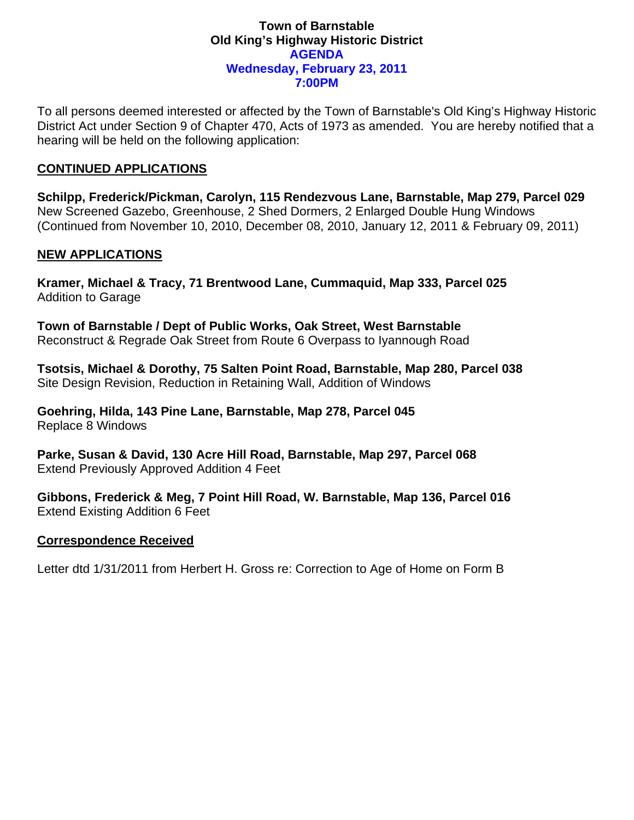#### **Town of Barnstable Old King's Highway Historic District AGENDA Wednesday, February 23, 2011 7:00PM**

To all persons deemed interested or affected by the Town of Barnstable's Old King's Highway Historic District Act under Section 9 of Chapter 470, Acts of 1973 as amended. You are hereby notified that a hearing will be held on the following application:

### **CONTINUED APPLICATIONS**

**Schilpp, Frederick/Pickman, Carolyn, 115 Rendezvous Lane, Barnstable, Map 279, Parcel 029**  New Screened Gazebo, Greenhouse, 2 Shed Dormers, 2 Enlarged Double Hung Windows (Continued from November 10, 2010, December 08, 2010, January 12, 2011 & February 09, 2011)

## **NEW APPLICATIONS**

**Kramer, Michael & Tracy, 71 Brentwood Lane, Cummaquid, Map 333, Parcel 025**  Addition to Garage

**Town of Barnstable / Dept of Public Works, Oak Street, West Barnstable**  Reconstruct & Regrade Oak Street from Route 6 Overpass to Iyannough Road

**Tsotsis, Michael & Dorothy, 75 Salten Point Road, Barnstable, Map 280, Parcel 038**  Site Design Revision, Reduction in Retaining Wall, Addition of Windows

**Goehring, Hilda, 143 Pine Lane, Barnstable, Map 278, Parcel 045**  Replace 8 Windows

**Parke, Susan & David, 130 Acre Hill Road, Barnstable, Map 297, Parcel 068**  Extend Previously Approved Addition 4 Feet

**Gibbons, Frederick & Meg, 7 Point Hill Road, W. Barnstable, Map 136, Parcel 016**  Extend Existing Addition 6 Feet

#### **Correspondence Received**

Letter dtd 1/31/2011 from Herbert H. Gross re: Correction to Age of Home on Form B